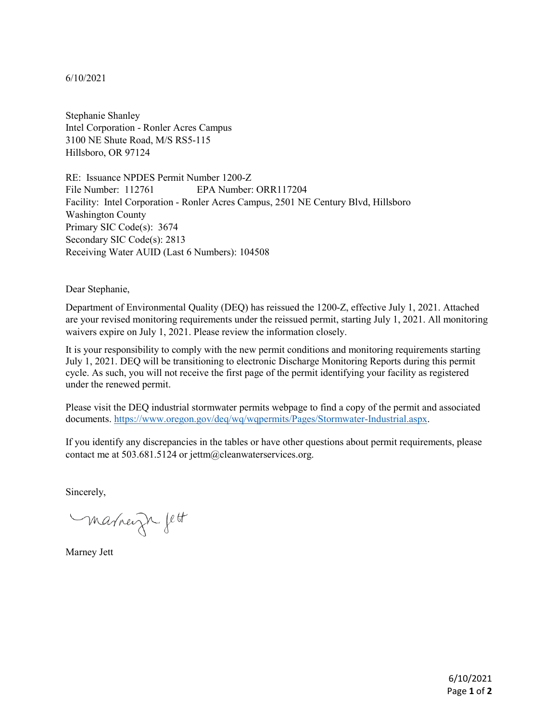## 6/10/2021

Stephanie Shanley Intel Corporation - Ronler Acres Campus 3100 NE Shute Road, M/S RS5-115 Hillsboro, OR 97124

RE: Issuance NPDES Permit Number 1200-Z File Number: 112761 EPA Number: ORR117204 Facility: Intel Corporation - Ronler Acres Campus, 2501 NE Century Blvd, Hillsboro Washington County Primary SIC Code(s): 3674 Secondary SIC Code(s): 2813 Receiving Water AUID (Last 6 Numbers): 104508

Dear Stephanie,

Department of Environmental Quality (DEQ) has reissued the 1200-Z, effective July 1, 2021. Attached are your revised monitoring requirements under the reissued permit, starting July 1, 2021. All monitoring waivers expire on July 1, 2021. Please review the information closely.

It is your responsibility to comply with the new permit conditions and monitoring requirements starting July 1, 2021. DEQ will be transitioning to electronic Discharge Monitoring Reports during this permit cycle. As such, you will not receive the first page of the permit identifying your facility as registered under the renewed permit.

Please visit the DEQ industrial stormwater permits webpage to find a copy of the permit and associated documents. [https://www.oregon.gov/deq/wq/wqpermits/Pages/Stormwater-Industrial.aspx.](https://www.oregon.gov/deq/wq/wqpermits/Pages/Stormwater-Industrial.aspx)

If you identify any discrepancies in the tables or have other questions about permit requirements, please contact me at 503.681.5124 or jettm@cleanwaterservices.org.

Sincerely,

marneign fett

Marney Jett